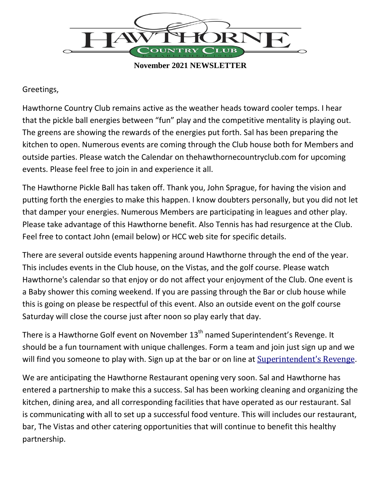

**November 2021 NEWSLETTER**

## Greetings,

Hawthorne Country Club remains active as the weather heads toward cooler temps. I hear that the pickle ball energies between "fun" play and the competitive mentality is playing out. The greens are showing the rewards of the energies put forth. Sal has been preparing the kitchen to open. Numerous events are coming through the Club house both for Members and outside parties. Please watch the Calendar on thehawthornecountryclub.com for upcoming events. Please feel free to join in and experience it all.

The Hawthorne Pickle Ball has taken off. Thank you, John Sprague, for having the vision and putting forth the energies to make this happen. I know doubters personally, but you did not let that damper your energies. Numerous Members are participating in leagues and other play. Please take advantage of this Hawthorne benefit. Also Tennis has had resurgence at the Club. Feel free to contact John (email below) or HCC web site for specific details.

There are several outside events happening around Hawthorne through the end of the year. This includes events in the Club house, on the Vistas, and the golf course. Please watch Hawthorne's calendar so that enjoy or do not affect your enjoyment of the Club. One event is a Baby shower this coming weekend. If you are passing through the Bar or club house while this is going on please be respectful of this event. Also an outside event on the golf course Saturday will close the course just after noon so play early that day.

There is a Hawthorne Golf event on November 13<sup>th</sup> named Superintendent's Revenge. It should be a fun tournament with unique challenges. Form a team and join just sign up and we will find you someone to play with. Sign up at the bar or on line at [Superintendent's Revenge](https://www.thehawthornecountryclub.com/calendar/event-info.cfm?id=811&Month=11&Year=2021&type=0).

We are anticipating the Hawthorne Restaurant opening very soon. Sal and Hawthorne has entered a partnership to make this a success. Sal has been working cleaning and organizing the kitchen, dining area, and all corresponding facilities that have operated as our restaurant. Sal is communicating with all to set up a successful food venture. This will includes our restaurant, bar, The Vistas and other catering opportunities that will continue to benefit this healthy partnership.